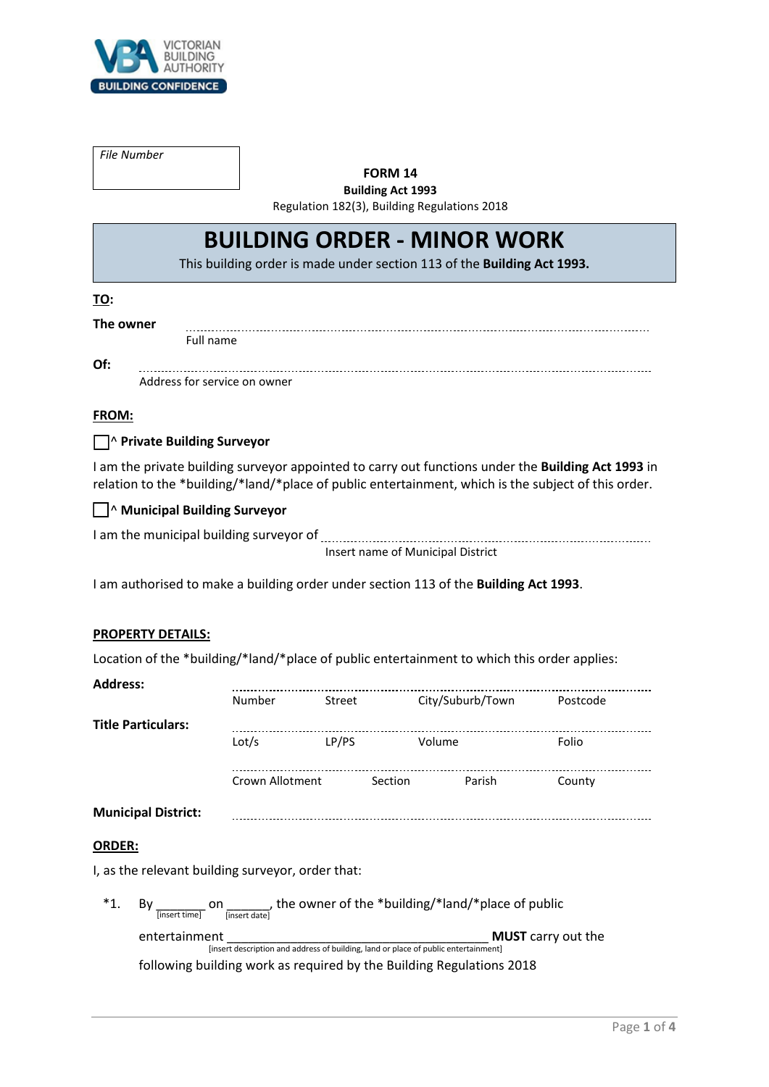

*File Number*

#### **FORM 14**

**Building Act 1993** Regulation 182(3), Building Regulations 2018

# **BUILDING ORDER - MINOR WORK**

This building order is made under section 113 of the **Building Act 1993.**

## **TO:**

**The owner**

Full name

**Of:** 

Address for service on owner

## **FROM:**

## ☐ ^ **Private Building Surveyor**

I am the private building surveyor appointed to carry out functions under the **Building Act 1993** in relation to the \*building/\*land/\*place of public entertainment, which is the subject of this order.

## ☐ ^ **Municipal Building Surveyor**

| I am the municipal building surveyor of |                                   |
|-----------------------------------------|-----------------------------------|
|                                         | Insert name of Municipal District |

I am authorised to make a building order under section 113 of the **Building Act 1993**.

#### **PROPERTY DETAILS:**

Location of the \*building/\*land/\*place of public entertainment to which this order applies:

#### **Address:**

|                                                   | <b>Number</b>                                                                                                                     | Street | City/Suburb/Town  | Postcode |  |  |  |
|---------------------------------------------------|-----------------------------------------------------------------------------------------------------------------------------------|--------|-------------------|----------|--|--|--|
| <b>Title Particulars:</b>                         |                                                                                                                                   |        |                   |          |  |  |  |
|                                                   | Lot/s                                                                                                                             | LP/PS  | Volume            | Folio    |  |  |  |
|                                                   | Crown Allotment                                                                                                                   |        | Section<br>Parish | County   |  |  |  |
| <b>Municipal District:</b>                        |                                                                                                                                   |        |                   |          |  |  |  |
| <b>ORDER:</b>                                     |                                                                                                                                   |        |                   |          |  |  |  |
| I, as the relevant building surveyor, order that: |                                                                                                                                   |        |                   |          |  |  |  |
| $*_{1.}$<br>By                                    | on ______, the owner of the *building/*land/*place of public<br>[insert date]<br>[insert time]                                    |        |                   |          |  |  |  |
|                                                   | entertainment<br><b>MUST</b> carry out the<br>[insert description and address of building, land or place of public entertainment] |        |                   |          |  |  |  |
|                                                   | following building work as required by the Building Regulations 2018                                                              |        |                   |          |  |  |  |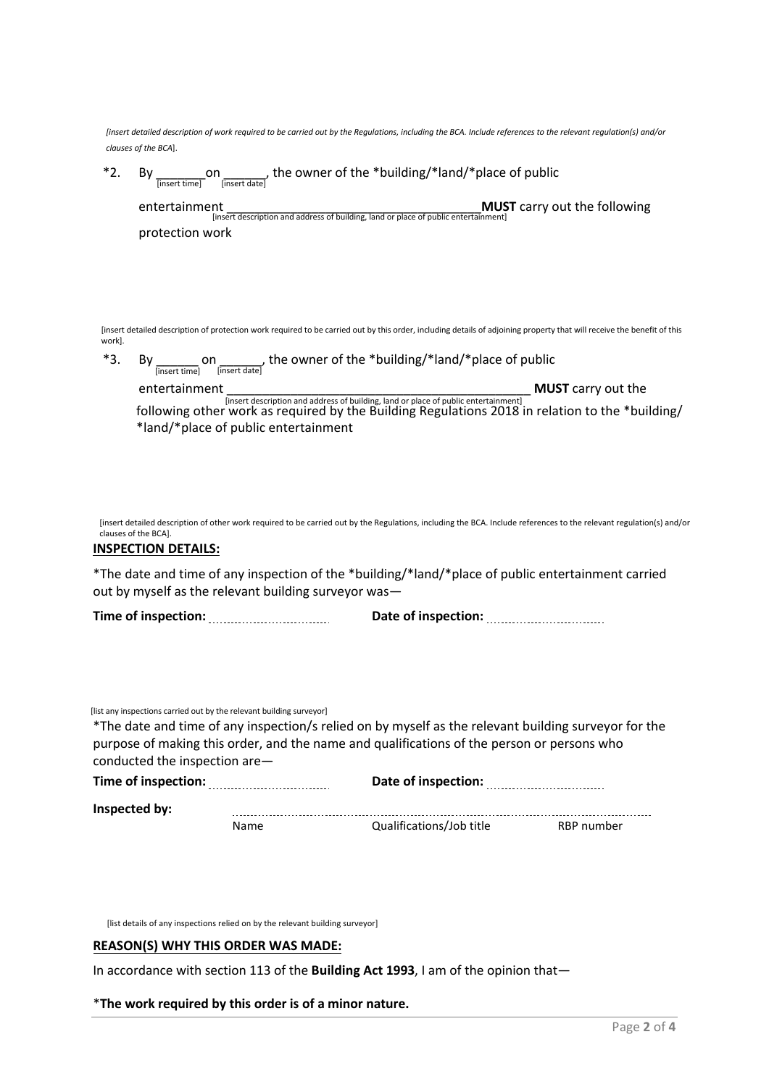|        | clauses of the BCA].                                                                                  |      | finsert detailed description of work required to be carried out by the Regulations, including the BCA. Include references to the relevant regulation(s) and/or                                     |                                                                                                                             |                                                                                                                                                                                       |  |  |
|--------|-------------------------------------------------------------------------------------------------------|------|----------------------------------------------------------------------------------------------------------------------------------------------------------------------------------------------------|-----------------------------------------------------------------------------------------------------------------------------|---------------------------------------------------------------------------------------------------------------------------------------------------------------------------------------|--|--|
| *2.    |                                                                                                       |      |                                                                                                                                                                                                    | By $\frac{1}{\text{[insert time]}}$ on $\frac{1}{\text{[insert date]}}$ , the owner of the *building/*land/*place of public |                                                                                                                                                                                       |  |  |
|        | entertainment                                                                                         |      | [insert description and address of building, land or place of public entertainment]                                                                                                                |                                                                                                                             | <b>MUST</b> carry out the following                                                                                                                                                   |  |  |
|        | protection work                                                                                       |      |                                                                                                                                                                                                    |                                                                                                                             |                                                                                                                                                                                       |  |  |
| work]. |                                                                                                       |      |                                                                                                                                                                                                    |                                                                                                                             | [insert detailed description of protection work required to be carried out by this order, including details of adjoining property that will receive the benefit of this               |  |  |
| *3.    |                                                                                                       |      | By $\frac{1}{\left[\text{insert time}\right]}$ on $\frac{1}{\left[\text{insert date}\right]}$ , the owner of the *building/*land/*place of public                                                  |                                                                                                                             |                                                                                                                                                                                       |  |  |
|        | entertainment                                                                                         |      |                                                                                                                                                                                                    |                                                                                                                             | <b>MUST</b> carry out the                                                                                                                                                             |  |  |
|        |                                                                                                       |      |                                                                                                                                                                                                    |                                                                                                                             | Entert description and address of building, land or place of public entertainment]<br>following other work as required by the Building Regulations 2018 in relation to the *building/ |  |  |
|        | *land/*place of public entertainment                                                                  |      |                                                                                                                                                                                                    |                                                                                                                             |                                                                                                                                                                                       |  |  |
|        | clauses of the BCA].<br><b>INSPECTION DETAILS:</b>                                                    |      | *The date and time of any inspection of the *building/*land/*place of public entertainment carried                                                                                                 |                                                                                                                             | [insert detailed description of other work required to be carried out by the Regulations, including the BCA. Include references to the relevant regulation(s) and/or                  |  |  |
|        |                                                                                                       |      | out by myself as the relevant building surveyor was-                                                                                                                                               |                                                                                                                             |                                                                                                                                                                                       |  |  |
|        |                                                                                                       |      |                                                                                                                                                                                                    |                                                                                                                             |                                                                                                                                                                                       |  |  |
|        | [list any inspections carried out by the relevant building surveyor]<br>conducted the inspection are- |      | *The date and time of any inspection/s relied on by myself as the relevant building surveyor for the<br>purpose of making this order, and the name and qualifications of the person or persons who |                                                                                                                             |                                                                                                                                                                                       |  |  |
|        |                                                                                                       |      |                                                                                                                                                                                                    |                                                                                                                             |                                                                                                                                                                                       |  |  |
|        | Inspected by:                                                                                         |      |                                                                                                                                                                                                    |                                                                                                                             |                                                                                                                                                                                       |  |  |
|        |                                                                                                       | Name | Qualifications/Job title                                                                                                                                                                           |                                                                                                                             | RBP number                                                                                                                                                                            |  |  |
|        |                                                                                                       |      |                                                                                                                                                                                                    |                                                                                                                             |                                                                                                                                                                                       |  |  |

[list details of any inspections relied on by the relevant building surveyor]

## **REASON(S) WHY THIS ORDER WAS MADE:**

In accordance with section 113 of the **Building Act 1993**, I am of the opinion that—

\***The work required by this order is of a minor nature.**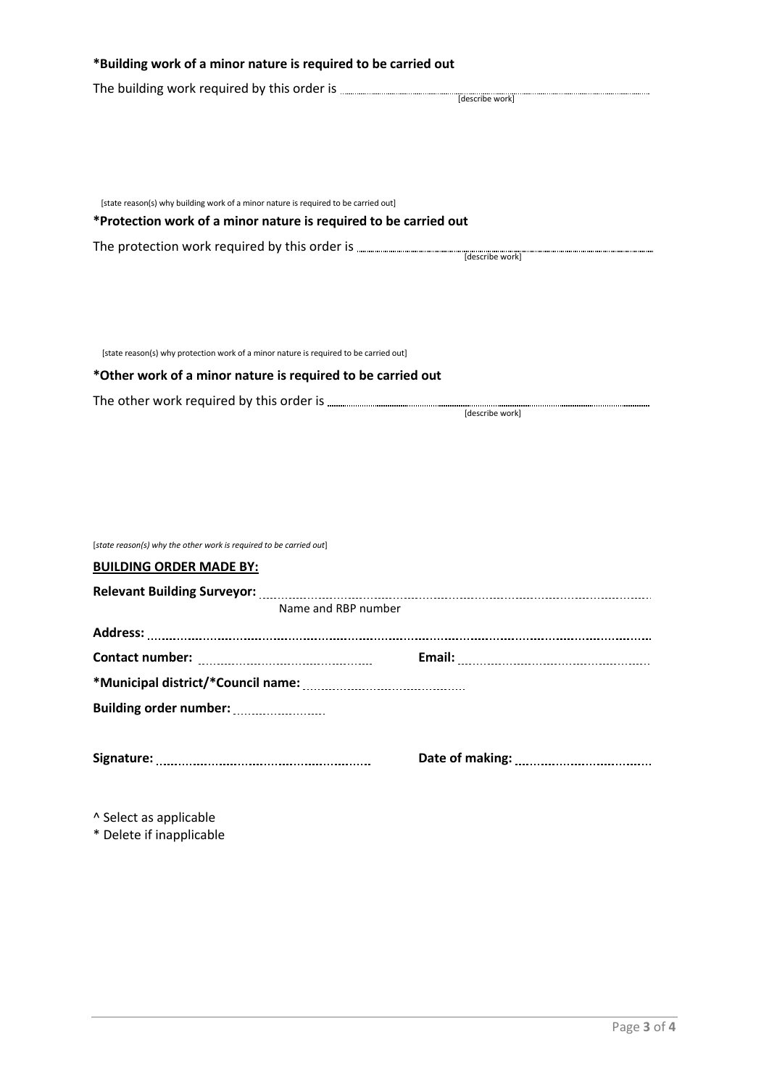| *Building work of a minor nature is required to be carried out                        |                 |
|---------------------------------------------------------------------------------------|-----------------|
|                                                                                       |                 |
|                                                                                       |                 |
|                                                                                       |                 |
|                                                                                       |                 |
|                                                                                       |                 |
| [state reason(s) why building work of a minor nature is required to be carried out]   |                 |
| *Protection work of a minor nature is required to be carried out                      |                 |
|                                                                                       |                 |
|                                                                                       |                 |
|                                                                                       |                 |
|                                                                                       |                 |
|                                                                                       |                 |
| [state reason(s) why protection work of a minor nature is required to be carried out] |                 |
| *Other work of a minor nature is required to be carried out                           |                 |
|                                                                                       |                 |
|                                                                                       | [describe work] |
|                                                                                       |                 |
|                                                                                       |                 |
|                                                                                       |                 |
|                                                                                       |                 |
|                                                                                       |                 |
| [state reason(s) why the other work is required to be carried out]                    |                 |
| <b>BUILDING ORDER MADE BY:</b>                                                        |                 |
| Name and RBP number                                                                   |                 |
|                                                                                       |                 |
|                                                                                       |                 |
|                                                                                       |                 |
|                                                                                       |                 |
|                                                                                       |                 |
|                                                                                       |                 |
|                                                                                       |                 |
|                                                                                       |                 |
|                                                                                       |                 |
| ^ Select as applicable                                                                |                 |

\* Delete if inapplicable